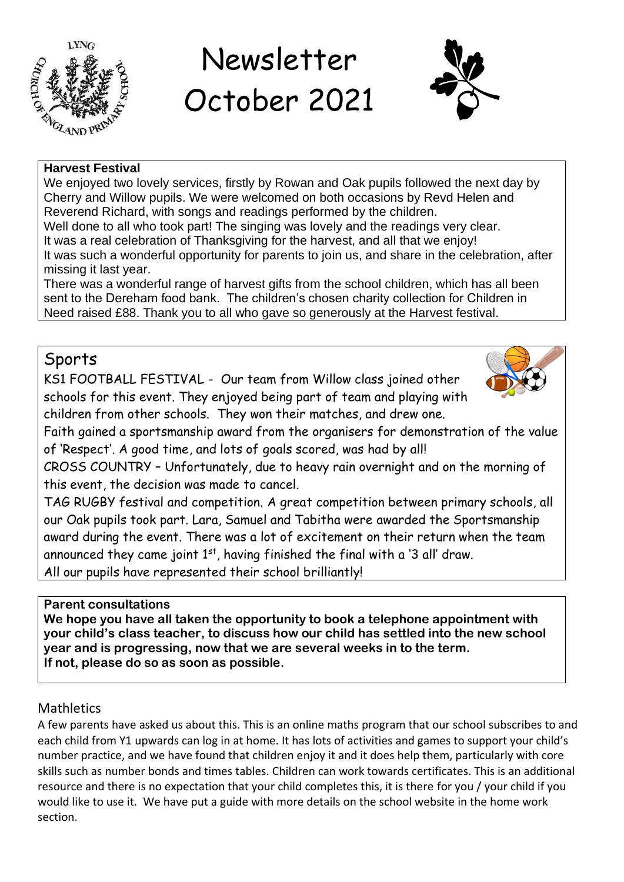

# Newsletter October 2021



#### **Harvest Festival**

We enjoyed two lovely services, firstly by Rowan and Oak pupils followed the next day by Cherry and Willow pupils. We were welcomed on both occasions by Revd Helen and Reverend Richard, with songs and readings performed by the children.

Well done to all who took part! The singing was lovely and the readings very clear. It was a real celebration of Thanksgiving for the harvest, and all that we enjoy! It was such a wonderful opportunity for parents to join us, and share in the celebration, after missing it last year.

There was a wonderful range of harvest gifts from the school children, which has all been sent to the Dereham food bank. The children's chosen charity collection for Children in Need raised £88. Thank you to all who gave so generously at the Harvest festival.

# Sports

KS1 FOOTBALL FESTIVAL - Our team from Willow class joined other schools for this event. They enjoyed being part of team and playing with children from other schools. They won their matches, and drew one.



Faith gained a sportsmanship award from the organisers for demonstration of the value of 'Respect'. A good time, and lots of goals scored, was had by all!

CROSS COUNTRY – Unfortunately, due to heavy rain overnight and on the morning of this event, the decision was made to cancel.

TAG RUGBY festival and competition. A great competition between primary schools, all our Oak pupils took part. Lara, Samuel and Tabitha were awarded the Sportsmanship award during the event. There was a lot of excitement on their return when the team announced they came joint  $1<sup>st</sup>$ , having finished the final with a '3 all' draw. All our pupils have represented their school brilliantly!

# **Parent consultations**

**We hope you have all taken the opportunity to book a telephone appointment with your child's class teacher, to discuss how our child has settled into the new school year and is progressing, now that we are several weeks in to the term. If not, please do so as soon as possible.**

# **Mathletics**

A few parents have asked us about this. This is an online maths program that our school subscribes to and each child from Y1 upwards can log in at home. It has lots of activities and games to support your child's number practice, and we have found that children enjoy it and it does help them, particularly with core skills such as number bonds and times tables. Children can work towards certificates. This is an additional resource and there is no expectation that your child completes this, it is there for you / your child if you would like to use it. We have put a guide with more details on the school website in the home work section.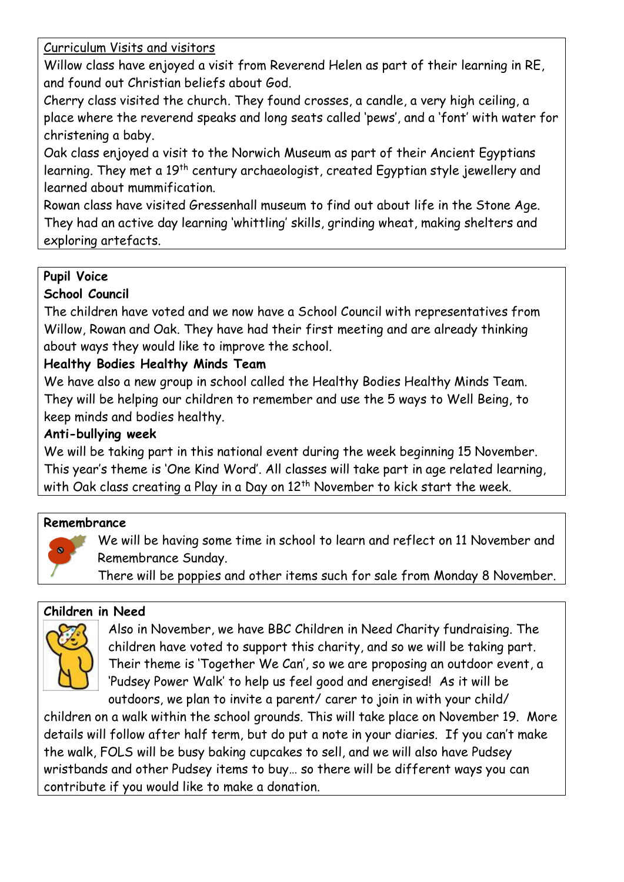Curriculum Visits and visitors

Willow class have enjoyed a visit from Reverend Helen as part of their learning in RE, and found out Christian beliefs about God.

Cherry class visited the church. They found crosses, a candle, a very high ceiling, a place where the reverend speaks and long seats called 'pews', and a 'font' with water for christening a baby.

Oak class enjoyed a visit to the Norwich Museum as part of their Ancient Egyptians learning. They met a 19<sup>th</sup> century archaeologist, created Egyptian style jewellery and learned about mummification.

Rowan class have visited Gressenhall museum to find out about life in the Stone Age. They had an active day learning 'whittling' skills, grinding wheat, making shelters and exploring artefacts.

# **Pupil Voice**

#### **School Council**

The children have voted and we now have a School Council with representatives from Willow, Rowan and Oak. They have had their first meeting and are already thinking about ways they would like to improve the school.

### **Healthy Bodies Healthy Minds Team**

We have also a new group in school called the Healthy Bodies Healthy Minds Team. They will be helping our children to remember and use the 5 ways to Well Being, to keep minds and bodies healthy.

#### **Anti-bullying week**

We will be taking part in this national event during the week beginning 15 November. This year's theme is 'One Kind Word'. All classes will take part in age related learning, with Oak class creating a Play in a Day on  $12<sup>th</sup>$  November to kick start the week.

#### **Remembrance**



We will be having some time in school to learn and reflect on 11 November and Remembrance Sunday.

There will be poppies and other items such for sale from Monday 8 November.

#### **Children in Need**



Also in November, we have BBC Children in Need Charity fundraising. The children have voted to support this charity, and so we will be taking part. Their theme is 'Together We Can', so we are proposing an outdoor event, a 'Pudsey Power Walk' to help us feel good and energised! As it will be outdoors, we plan to invite a parent/ carer to join in with your child/

children on a walk within the school grounds. This will take place on November 19. More details will follow after half term, but do put a note in your diaries. If you can't make the walk, FOLS will be busy baking cupcakes to sell, and we will also have Pudsey wristbands and other Pudsey items to buy… so there will be different ways you can contribute if you would like to make a donation.